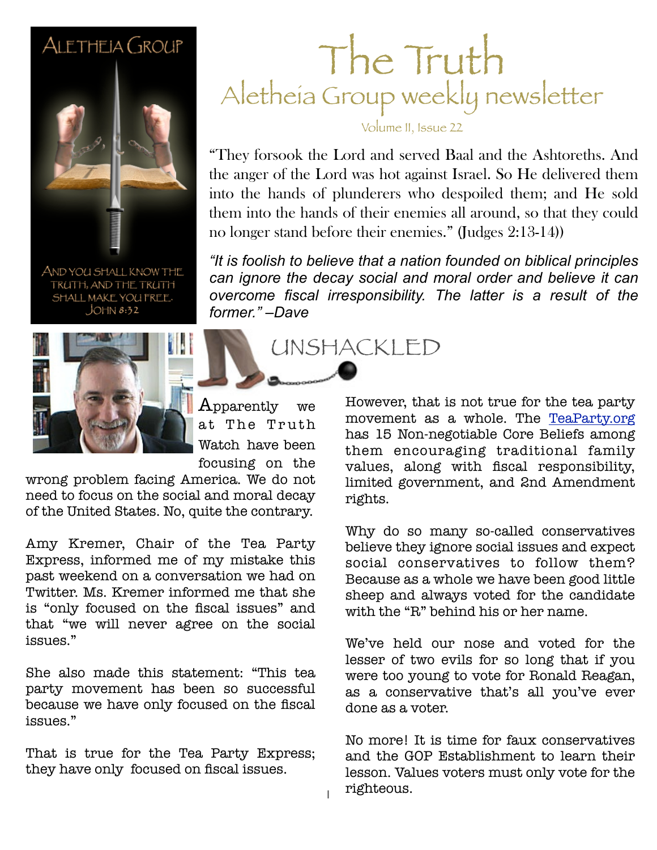#### ALETHEIA GROUP



AND YOU SHALL KNOW THE TRUTH, AND THE TRUTH SHALL MAKE YOU FREE.  $JOHN 8:32$ 



 $\bm A$ pparently we at The Truth Watch have been focusing on the

wrong problem facing America. We do not need to focus on the social and moral decay of the United States. No, quite the contrary.

Amy Kremer, Chair of the Tea Party Express, informed me of my mistake this past weekend on a conversation we had on Twitter. Ms. Kremer informed me that she is "only focused on the fiscal issues" and that "we will never agree on the social issues."

She also made this statement: "This tea party movement has been so successful because we have only focused on the fiscal issues."

That is true for the Tea Party Express; they have only focused on fiscal issues.

#### The Truth Aletheia Group weekly newsletter

Volume II, Issue 22

**February 26, 2011 Sample** no longer stand before their enemies." (Judges 2:13-14)) "They forsook the Lord and served Baal and the Ashtoreths. And the anger of the Lord was hot against Israel. So He delivered them into the hands of plunderers who despoiled them; and He sold them into the hands of their enemies all around, so that they could

*"It is foolish to believe that a nation founded on biblical principles can ignore the decay social and moral order and believe it can overcome fiscal irresponsibility. The latter is a result of the former." –Dave*

UNSHACKLED

However, that is not true for the tea party movement as a whole. The [TeaParty.org](http://www.teaparty.org/about.php) has 15 Non-negotiable Core Beliefs among them encouraging traditional family values, along with fiscal responsibility, limited government, and 2nd Amendment rights.

Why do so many so-called conservatives believe they ignore social issues and expect social conservatives to follow them? Because as a whole we have been good little sheep and always voted for the candidate with the "R" behind his or her name.

We've held our nose and voted for the lesser of two evils for so long that if you were too young to vote for Ronald Reagan, as a conservative that's all you've ever done as a voter.

No more! It is time for faux conservatives and the GOP Establishment to learn their lesson. Values voters must only vote for the righteous.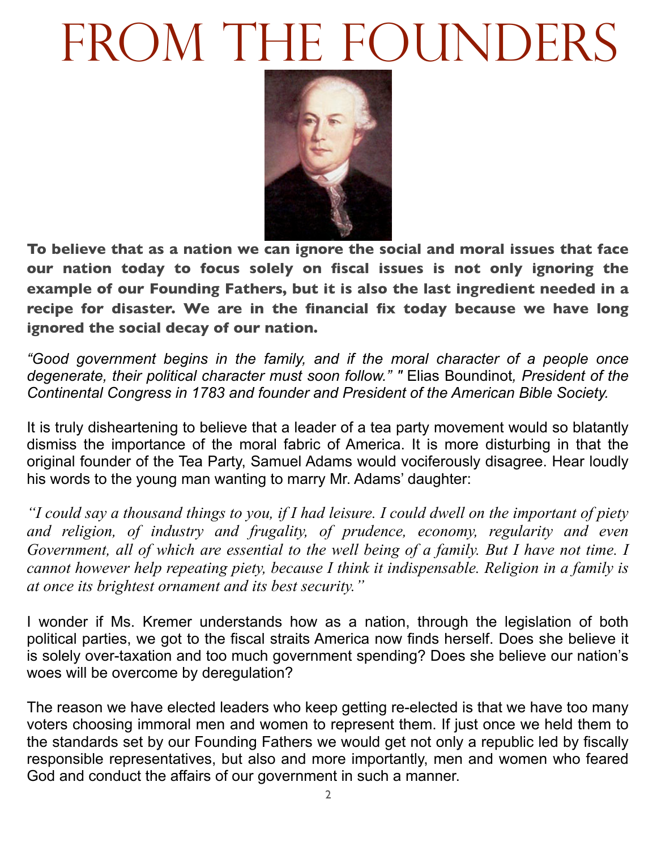# FROM THE FOUNDERS



**To believe that as a nation we can ignore the social and moral issues that face our nation today to focus solely on fiscal issues is not only ignoring the example of our Founding Fathers, but it is also the last ingredient needed in a recipe for disaster. We are in the financial fix today because we have long ignored the social decay of our nation.**

*"Good government begins in the family, and if the moral character of a people once degenerate, their political character must soon follow." "* Elias Boundinot*, President of the Continental Congress in 1783 and founder and President of the American Bible Society.*

It is truly disheartening to believe that a leader of a tea party movement would so blatantly dismiss the importance of the moral fabric of America. It is more disturbing in that the original founder of the Tea Party, Samuel Adams would vociferously disagree. Hear loudly his words to the young man wanting to marry Mr. Adams' daughter:

*"I could say a thousand things to you, if I had leisure. I could dwell on the important of piety and religion, of industry and frugality, of prudence, economy, regularity and even Government, all of which are essential to the well being of a family. But I have not time. I cannot however help repeating piety, because I think it indispensable. Religion in a family is at once its brightest ornament and its best security."*

I wonder if Ms. Kremer understands how as a nation, through the legislation of both political parties, we got to the fiscal straits America now finds herself. Does she believe it is solely over-taxation and too much government spending? Does she believe our nation's woes will be overcome by deregulation?

The reason we have elected leaders who keep getting re-elected is that we have too many voters choosing immoral men and women to represent them. If just once we held them to the standards set by our Founding Fathers we would get not only a republic led by fiscally responsible representatives, but also and more importantly, men and women who feared God and conduct the affairs of our government in such a manner.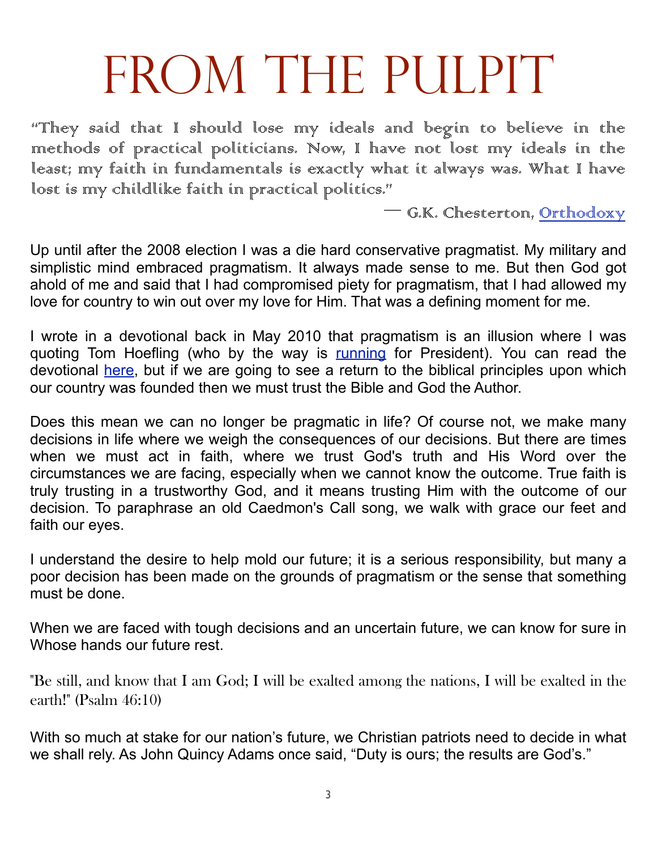### FROM THE PULPIT

"They said that I should lose my ideals and begin to believe in the methods of practical politicians. Now, I have not lost my ideals in the least; my faith in fundamentals is exactly what it always was. What I have lost is my childlike faith in practical politics."

― G.K. Chesterton, Orthodoxy

Up until after the 2008 election I was a die hard conservative pragmatist. My military and simplistic mind embraced pragmatism. It always made sense to me. But then God got ahold of me and said that I had compromised piety for pragmatism, that I had allowed my love for country to win out over my love for Him. That was a defining moment for me.

I wrote in a devotional back in May 2010 that pragmatism is an illusion where I was quoting Tom Hoefling (who by the way is [running](http://www.tomhoefling.com/) for President). You can read the devotional [here,](http://www.saltandlightblog.com/7011/pragmatism-is-an-illusion/) but if we are going to see a return to the biblical principles upon which our country was founded then we must trust the Bible and God the Author.

Does this mean we can no longer be pragmatic in life? Of course not, we make many decisions in life where we weigh the consequences of our decisions. But there are times when we must act in faith, where we trust God's truth and His Word over the circumstances we are facing, especially when we cannot know the outcome. True faith is truly trusting in a trustworthy God, and it means trusting Him with the outcome of our decision. To paraphrase an old Caedmon's Call song, we walk with grace our feet and faith our eyes.

I understand the desire to help mold our future; it is a serious responsibility, but many a poor decision has been made on the grounds of pragmatism or the sense that something must be done.

When we are faced with tough decisions and an uncertain future, we can know for sure in Whose hands our future rest.

"Be still, and know that I am God; I will be exalted among the nations, I will be exalted in the earth!" (Psalm 46:10)

With so much at stake for our nation's future, we Christian patriots need to decide in what we shall rely. As John Quincy Adams once said, "Duty is ours; the results are God's."